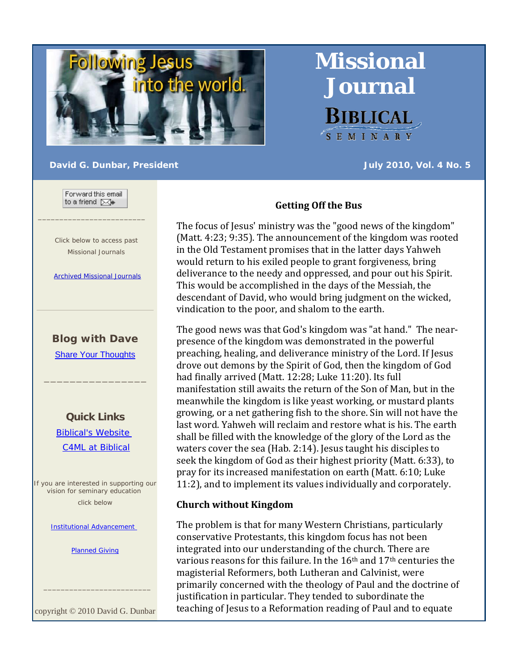

#### **David G. Dunbar, President All Construction Construction Construction Construction Construction Construction Construction Construction Construction Construction Construction Construction Construction Construction Constru**

**Missional** 

**Journal** 

**BIBLICAL** 

SEMINARY

Forward this email to a friend ⊠+

 $\_$ 

 Click below to access past Missional Journals

Archived Missional Journals

# **Blog with Dave**

Share Your Thoughts

\_\_\_\_\_\_\_\_\_\_\_\_\_\_\_\_

**Quick Links** Biblical's Website C4ML at Biblical

If you are interested in supporting our vision for seminary education click below

Institutional Advancement

Planned Giving

copyright © 2010 David G. Dunbar

 $\frac{1}{2}$  ,  $\frac{1}{2}$  ,  $\frac{1}{2}$  ,  $\frac{1}{2}$  ,  $\frac{1}{2}$  ,  $\frac{1}{2}$  ,  $\frac{1}{2}$  ,  $\frac{1}{2}$  ,  $\frac{1}{2}$  ,  $\frac{1}{2}$  ,  $\frac{1}{2}$  ,  $\frac{1}{2}$  ,  $\frac{1}{2}$  ,  $\frac{1}{2}$  ,  $\frac{1}{2}$  ,  $\frac{1}{2}$  ,  $\frac{1}{2}$  ,  $\frac{1}{2}$  ,  $\frac{1$ 

### **Getting Off the Bus**

The focus of Jesus' ministry was the "good news of the kingdom" (Matt. 4:23; 9:35). The announcement of the kingdom was rooted in the Old Testament promises that in the latter days Yahweh would return to his exiled people to grant forgiveness, bring deliverance to the needy and oppressed, and pour out his Spirit. This would be accomplished in the days of the Messiah, the descendant of David, who would bring judgment on the wicked, vindication to the poor, and shalom to the earth.

The good news was that God's kingdom was "at hand." The near‐ presence of the kingdom was demonstrated in the powerful preaching, healing, and deliverance ministry of the Lord. If Jesus drove out demons by the Spirit of God, then the kingdom of God had finally arrived (Matt. 12:28; Luke 11:20). Its full manifestation still awaits the return of the Son of Man, but in the meanwhile the kingdom is like yeast working, or mustard plants growing, or a net gathering fish to the shore. Sin will not have the last word. Yahweh will reclaim and restore what is his. The earth shall be filled with the knowledge of the glory of the Lord as the waters cover the sea (Hab. 2:14). Jesus taught his disciples to seek the kingdom of God as their highest priority (Matt. 6:33), to pray for its increased manifestation on earth (Matt. 6:10; Luke 11:2), and to implement its values individually and corporately.

### **Church without Kingdom**

The problem is that for many Western Christians, particularly conservative Protestants, this kingdom focus has not been integrated into our understanding of the church. There are various reasons for this failure. In the 16th and 17th centuries the magisterial Reformers, both Lutheran and Calvinist, were primarily concerned with the theology of Paul and the doctrine of justification in particular. They tended to subordinate the teaching of Jesus to a Reformation reading of Paul and to equate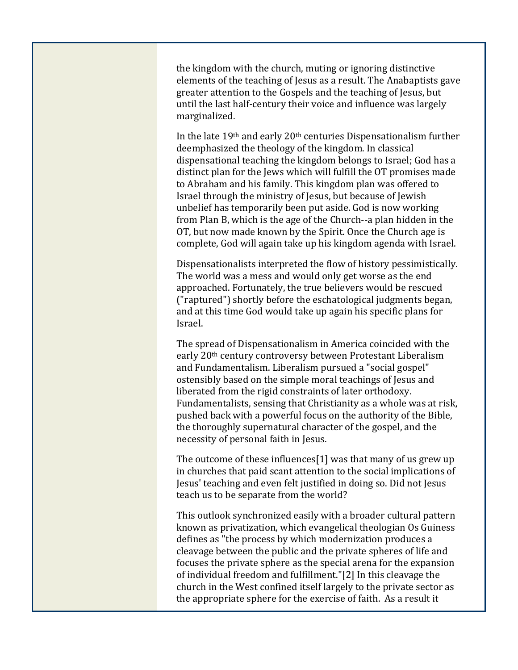the kingdom with the church, muting or ignoring distinctive elements of the teaching of Jesus as a result. The Anabaptists gave greater attention to the Gospels and the teaching of Jesus, but until the last half‐century their voice and influence was largely marginalized.

In the late 19th and early 20th centuries Dispensationalism further deemphasized the theology of the kingdom. In classical dispensational teaching the kingdom belongs to Israel; God has a distinct plan for the Jews which will fulfill the OT promises made to Abraham and his family. This kingdom plan was offered to Israel through the ministry of Jesus, but because of Jewish unbelief has temporarily been put aside. God is now working from Plan B, which is the age of the Church‐‐a plan hidden in the OT, but now made known by the Spirit. Once the Church age is complete, God will again take up his kingdom agenda with Israel.

Dispensationalists interpreted the flow of history pessimistically. The world was a mess and would only get worse as the end approached. Fortunately, the true believers would be rescued ("raptured") shortly before the eschatological judgments began, and at this time God would take up again his specific plans for Israel.

The spread of Dispensationalism in America coincided with the early 20th century controversy between Protestant Liberalism and Fundamentalism. Liberalism pursued a "social gospel" ostensibly based on the simple moral teachings of Jesus and liberated from the rigid constraints of later orthodoxy. Fundamentalists, sensing that Christianity as a whole was at risk, pushed back with a powerful focus on the authority of the Bible, the thoroughly supernatural character of the gospel, and the necessity of personal faith in Jesus.

The outcome of these influences[1] was that many of us grew up in churches that paid scant attention to the social implications of Jesus' teaching and even felt justified in doing so. Did not Jesus teach us to be separate from the world?

This outlook synchronized easily with a broader cultural pattern known as privatization, which evangelical theologian Os Guiness defines as "the process by which modernization produces a cleavage between the public and the private spheres of life and focuses the private sphere as the special arena for the expansion of individual freedom and fulfillment."[2] In this cleavage the church in the West confined itself largely to the private sector as the appropriate sphere for the exercise of faith. As a result it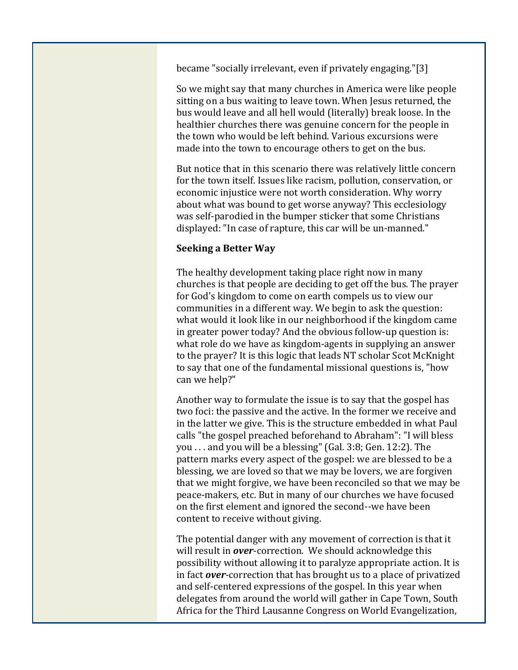became "socially irrelevant, even if privately engaging."[3]

So we might say that many churches in America were like people sitting on a bus waiting to leave town. When Jesus returned, the bus would leave and all hell would (literally) break loose. In the healthier churches there was genuine concern for the people in the town who would be left behind. Various excursions were made into the town to encourage others to get on the bus.

But notice that in this scenario there was relatively little concern for the town itself. Issues like racism, pollution, conservation, or economic injustice were not worth consideration. Why worry about what was bound to get worse anyway? This ecclesiology was self-parodied in the bumper sticker that some Christians displayed: "In case of rapture, this car will be un‐manned."

## **Seeking a Better Way**

The healthy development taking place right now in many churches is that people are deciding to get off the bus. The prayer for God's kingdom to come on earth compels us to view our communities in a different way. We begin to ask the question: what would it look like in our neighborhood if the kingdom came in greater power today? And the obvious follow‐up question is: what role do we have as kingdom-agents in supplying an answer to the prayer? It is this logic that leads NT scholar Scot McKnight to say that one of the fundamental missional questions is, "how can we help?"

Another way to formulate the issue is to say that the gospel has two foci: the passive and the active. In the former we receive and in the latter we give. This is the structure embedded in what Paul calls "the gospel preached beforehand to Abraham": "I will bless you . . . and you will be a blessing" (Gal. 3:8; Gen. 12:2). The pattern marks every aspect of the gospel: we are blessed to be a blessing, we are loved so that we may be lovers, we are forgiven that we might forgive, we have been reconciled so that we may be peace‐makers, etc. But in many of our churches we have focused on the first element and ignored the second‐‐we have been content to receive without giving.

The potential danger with any movement of correction is that it will result in *over*-correction. We should acknowledge this possibility without allowing it to paralyze appropriate action. It is in fact *over*‐correction that has brought us to a place of privatized and self‐centered expressions of the gospel. In this year when delegates from around the world will gather in Cape Town, South Africa for the Third Lausanne Congress on World Evangelization,